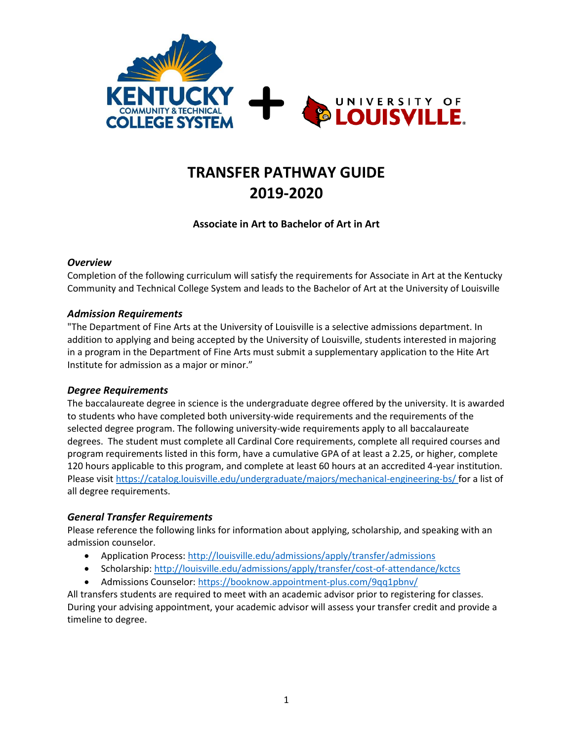

# **TRANSFER PATHWAY GUIDE 2019-2020**

# **Associate in Art to Bachelor of Art in Art**

## *Overview*

Completion of the following curriculum will satisfy the requirements for Associate in Art at the Kentucky Community and Technical College System and leads to the Bachelor of Art at the University of Louisville

## *Admission Requirements*

"The Department of Fine Arts at the University of Louisville is a selective admissions department. In addition to applying and being accepted by the University of Louisville, students interested in majoring in a program in the Department of Fine Arts must submit a supplementary application to the Hite Art Institute for admission as a major or minor."

## *Degree Requirements*

The baccalaureate degree in science is the undergraduate degree offered by the university. It is awarded to students who have completed both university-wide requirements and the requirements of the selected degree program. The following university-wide requirements apply to all baccalaureate degrees. The student must complete all Cardinal Core requirements, complete all required courses and program requirements listed in this form, have a cumulative GPA of at least a 2.25, or higher, complete 120 hours applicable to this program, and complete at least 60 hours at an accredited 4-year institution. Please visi[t https://catalog.louisville.edu/undergraduate/majors/mechanical-engineering-bs/](https://catalog.louisville.edu/undergraduate/majors/mechanical-engineering-bs/) for a list of all degree requirements.

## *General Transfer Requirements*

Please reference the following links for information about applying, scholarship, and speaking with an admission counselor.

- Application Process[: http://louisville.edu/admissions/apply/transfer/admissions](http://louisville.edu/admissions/apply/transfer/admissions)
- Scholarship[: http://louisville.edu/admissions/apply/transfer/cost-of-attendance/kctcs](http://louisville.edu/admissions/apply/transfer/cost-of-attendance/kctcs)
- Admissions Counselor[: https://booknow.appointment-plus.com/9qq1pbnv/](https://booknow.appointment-plus.com/9qq1pbnv/)

All transfers students are required to meet with an academic advisor prior to registering for classes. During your advising appointment, your academic advisor will assess your transfer credit and provide a timeline to degree.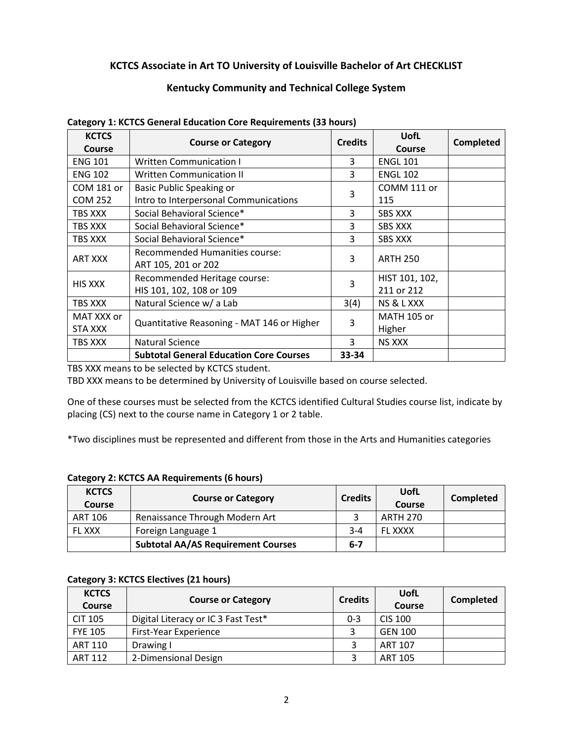# **KCTCS Associate in Art TO University of Louisville Bachelor of Art CHECKLIST**

# **Kentucky Community and Technical College System**

| <b>KCTCS</b><br>Course | <b>Course or Category</b>                                | <b>Credits</b> | <b>UofL</b><br>Course        | Completed |
|------------------------|----------------------------------------------------------|----------------|------------------------------|-----------|
| <b>ENG 101</b>         | <b>Written Communication I</b>                           | 3              | <b>ENGL 101</b>              |           |
| <b>ENG 102</b>         | <b>Written Communication II</b>                          | 3              | <b>ENGL 102</b>              |           |
| COM 181 or             | Basic Public Speaking or                                 | 3              | COMM 111 or                  |           |
| <b>COM 252</b>         | Intro to Interpersonal Communications                    |                | 115                          |           |
| TBS XXX                | Social Behavioral Science*                               | 3              | <b>SBS XXX</b>               |           |
| TBS XXX                | Social Behavioral Science*                               | 3              | <b>SBS XXX</b>               |           |
| TBS XXX                | Social Behavioral Science*                               | 3              | <b>SBS XXX</b>               |           |
| <b>ART XXX</b>         | Recommended Humanities course:<br>ART 105, 201 or 202    | 3              | <b>ARTH 250</b>              |           |
| <b>HIS XXX</b>         | Recommended Heritage course:<br>HIS 101, 102, 108 or 109 | 3              | HIST 101, 102,<br>211 or 212 |           |
| TBS XXX                | Natural Science w/ a Lab                                 | 3(4)           | NS & L XXX                   |           |
| MAT XXX or             |                                                          |                | <b>MATH 105 or</b>           |           |
| STA XXX                | Quantitative Reasoning - MAT 146 or Higher               | 3              | Higher                       |           |
| TBS XXX                | <b>Natural Science</b>                                   | 3              | <b>NS XXX</b>                |           |
|                        | <b>Subtotal General Education Core Courses</b>           | 33-34          |                              |           |

#### **Category 1: KCTCS General Education Core Requirements (33 hours)**

TBS XXX means to be selected by KCTCS student.

TBD XXX means to be determined by University of Louisville based on course selected.

One of these courses must be selected from the KCTCS identified Cultural Studies course list, indicate by placing (CS) next to the course name in Category 1 or 2 table.

\*Two disciplines must be represented and different from those in the Arts and Humanities categories

## **Category 2: KCTCS AA Requirements (6 hours)**

| <b>KCTCS</b><br>Course | <b>Course or Category</b>                 | <b>Credits</b> | UofL<br>Course  | Completed |
|------------------------|-------------------------------------------|----------------|-----------------|-----------|
| ART 106                | Renaissance Through Modern Art            |                | <b>ARTH 270</b> |           |
| <b>FL XXX</b>          | Foreign Language 1                        | $3 - 4$        | <b>FL XXXX</b>  |           |
|                        | <b>Subtotal AA/AS Requirement Courses</b> | $6 - 7$        |                 |           |

## **Category 3: KCTCS Electives (21 hours)**

| <b>KCTCS</b><br><b>Course</b> | <b>Course or Category</b>           | <b>Credits</b> | UofL<br>Course | Completed |
|-------------------------------|-------------------------------------|----------------|----------------|-----------|
| <b>CIT 105</b>                | Digital Literacy or IC 3 Fast Test* | $0 - 3$        | CIS 100        |           |
| <b>FYE 105</b>                | First-Year Experience               |                | <b>GEN 100</b> |           |
| <b>ART 110</b>                | Drawing I                           |                | <b>ART 107</b> |           |
| <b>ART 112</b>                | 2-Dimensional Design                |                | <b>ART 105</b> |           |